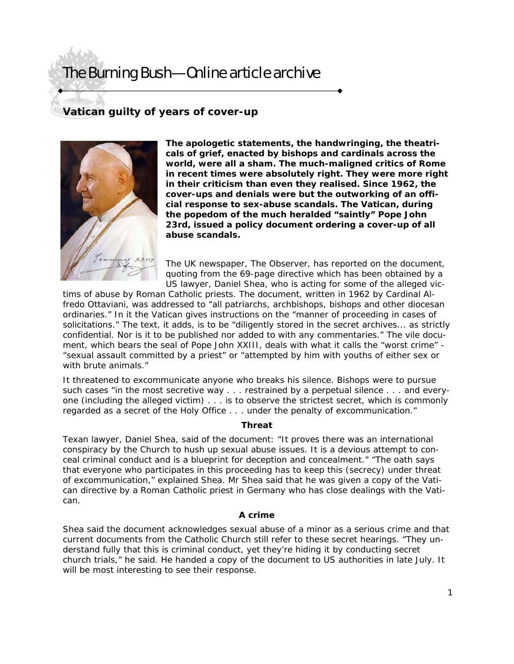# The Burning Bush—Online article archive

# **Vatican guilty of years of cover-up**



**The apologetic statements, the handwringing, the theatricals of grief, enacted by bishops and cardinals across the world, were all a sham. The much-maligned critics of Rome in recent times were absolutely right. They were more right in their criticism than even they realised. Since 1962, the cover-ups and denials were but the outworking of an official response to sex-abuse scandals. The Vatican, during the popedom of the much heralded "saintly" Pope John 23rd, issued a policy document ordering a cover-up of all abuse scandals.** 

The UK newspaper, The Observer, has reported on the document, quoting from the 69-page directive which has been obtained by a US lawyer, Daniel Shea, who is acting for some of the alleged vic-

tims of abuse by Roman Catholic priests. The document, written in 1962 by Cardinal Alfredo Ottaviani, was addressed to "all patriarchs, archbishops, bishops and other diocesan ordinaries." In it the Vatican gives instructions on the "manner of proceeding in cases of solicitations." The text, it adds, is to be "diligently stored in the secret archives... as strictly confidential. Nor is it to be published nor added to with any commentaries." The vile document, which bears the seal of Pope John XXIII, deals with what it calls the "worst crime" - "sexual assault committed by a priest" or "attempted by him with youths of either sex or with brute animals."

It threatened to excommunicate anyone who breaks his silence. Bishops were to pursue such cases "in the most secretive way . . . restrained by a perpetual silence . . . and everyone (including the alleged victim) . . . is to observe the strictest secret, which is commonly regarded as a secret of the Holy Office . . . under the penalty of excommunication."

### **Threat**

Texan lawyer, Daniel Shea, said of the document: "It proves there was an international conspiracy by the Church to hush up sexual abuse issues. It is a devious attempt to conceal criminal conduct and is a blueprint for deception and concealment." "The oath says that everyone who participates in this proceeding has to keep this (secrecy) under threat of excommunication," explained Shea. Mr Shea said that he was given a copy of the Vatican directive by a Roman Catholic priest in Germany who has close dealings with the Vatican.

### **A crime**

Shea said the document acknowledges sexual abuse of a minor as a serious crime and that current documents from the Catholic Church still refer to these secret hearings. "They understand fully that this is criminal conduct, yet they're hiding it by conducting secret church trials," he said. He handed a copy of the document to US authorities in late July. It will be most interesting to see their response.